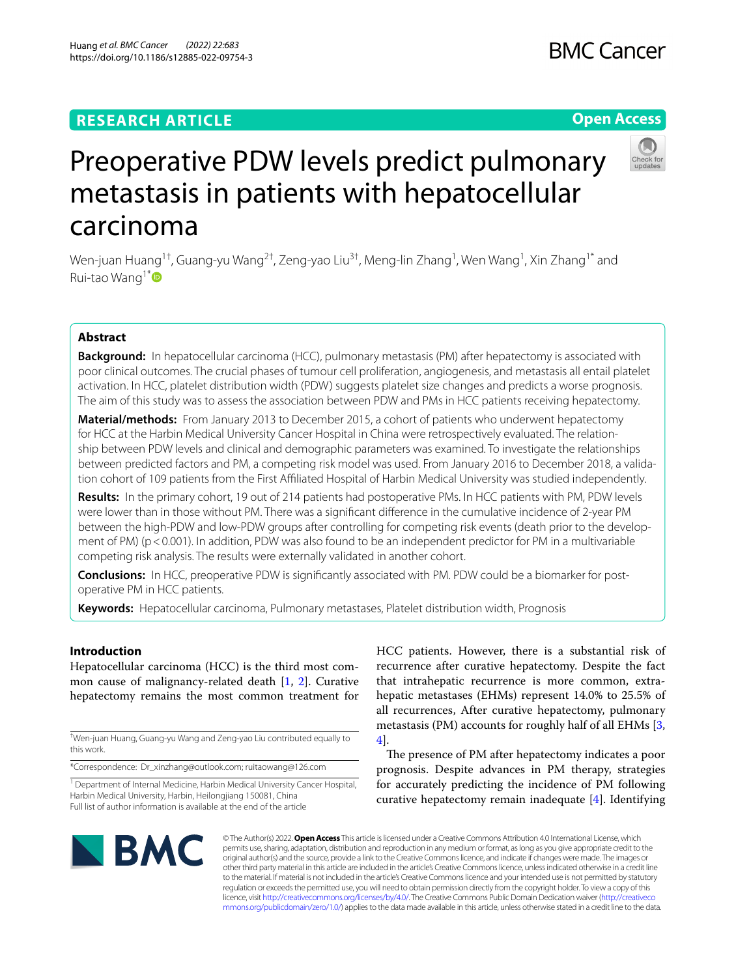## **RESEARCH ARTICLE**

# Preoperative PDW levels predict pulmonary metastasis in patients with hepatocellular carcinoma

Wen-juan Huang<sup>1†</sup>, Guang-yu Wang<sup>2†</sup>, Zeng-yao Liu<sup>3†</sup>, Meng-lin Zhang<sup>1</sup>, Wen Wang<sup>1</sup>, Xin Zhang<sup>1\*</sup> and Rui-tao Wang<sup>1\*</sup>

## **Abstract**

**Background:** In hepatocellular carcinoma (HCC), pulmonary metastasis (PM) after hepatectomy is associated with poor clinical outcomes. The crucial phases of tumour cell proliferation, angiogenesis, and metastasis all entail platelet activation. In HCC, platelet distribution width (PDW) suggests platelet size changes and predicts a worse prognosis. The aim of this study was to assess the association between PDW and PMs in HCC patients receiving hepatectomy.

**Material/methods:** From January 2013 to December 2015, a cohort of patients who underwent hepatectomy for HCC at the Harbin Medical University Cancer Hospital in China were retrospectively evaluated. The relationship between PDW levels and clinical and demographic parameters was examined. To investigate the relationships between predicted factors and PM, a competing risk model was used. From January 2016 to December 2018, a validation cohort of 109 patients from the First Afliated Hospital of Harbin Medical University was studied independently.

**Results:** In the primary cohort, 19 out of 214 patients had postoperative PMs. In HCC patients with PM, PDW levels were lower than in those without PM. There was a signifcant diference in the cumulative incidence of 2-year PM between the high-PDW and low-PDW groups after controlling for competing risk events (death prior to the development of PM) (p < 0.001). In addition, PDW was also found to be an independent predictor for PM in a multivariable competing risk analysis. The results were externally validated in another cohort.

**Conclusions:** In HCC, preoperative PDW is signifcantly associated with PM. PDW could be a biomarker for postoperative PM in HCC patients.

**Keywords:** Hepatocellular carcinoma, Pulmonary metastases, Platelet distribution width, Prognosis

## **Introduction**

Hepatocellular carcinoma (HCC) is the third most common cause of malignancy-related death [\[1](#page-7-0), [2](#page-7-1)]. Curative hepatectomy remains the most common treatment for

† Wen-juan Huang, Guang-yu Wang and Zeng-yao Liu contributed equally to this work.

\*Correspondence: Dr\_xinzhang@outlook.com; ruitaowang@126.com

<sup>1</sup> Department of Internal Medicine, Harbin Medical University Cancer Hospital, Harbin Medical University, Harbin, Heilongjiang 150081, China Full list of author information is available at the end of the article

HCC patients. However, there is a substantial risk of recurrence after curative hepatectomy. Despite the fact that intrahepatic recurrence is more common, extrahepatic metastases (EHMs) represent 14.0% to 25.5% of all recurrences, After curative hepatectomy, pulmonary metastasis (PM) accounts for roughly half of all EHMs [\[3](#page-7-2), [4\]](#page-7-3).

The presence of PM after hepatectomy indicates a poor prognosis. Despite advances in PM therapy, strategies for accurately predicting the incidence of PM following curative hepatectomy remain inadequate [\[4](#page-7-3)]. Identifying

## Huang *et al. BMC Cancer (2022) 22:683*  https://doi.org/10.1186/s12885-022-09754-3

**BMC** 

© The Author(s) 2022. **Open Access** This article is licensed under a Creative Commons Attribution 4.0 International License, which permits use, sharing, adaptation, distribution and reproduction in any medium or format, as long as you give appropriate credit to the original author(s) and the source, provide a link to the Creative Commons licence, and indicate if changes were made. The images or other third party material in this article are included in the article's Creative Commons licence, unless indicated otherwise in a credit line to the material. If material is not included in the article's Creative Commons licence and your intended use is not permitted by statutory regulation or exceeds the permitted use, you will need to obtain permission directly from the copyright holder. To view a copy of this licence, visit [http://creativecommons.org/licenses/by/4.0/.](http://creativecommons.org/licenses/by/4.0/) The Creative Commons Public Domain Dedication waiver ([http://creativeco](http://creativecommons.org/publicdomain/zero/1.0/) [mmons.org/publicdomain/zero/1.0/](http://creativecommons.org/publicdomain/zero/1.0/)) applies to the data made available in this article, unless otherwise stated in a credit line to the data.





## **BMC Cancer**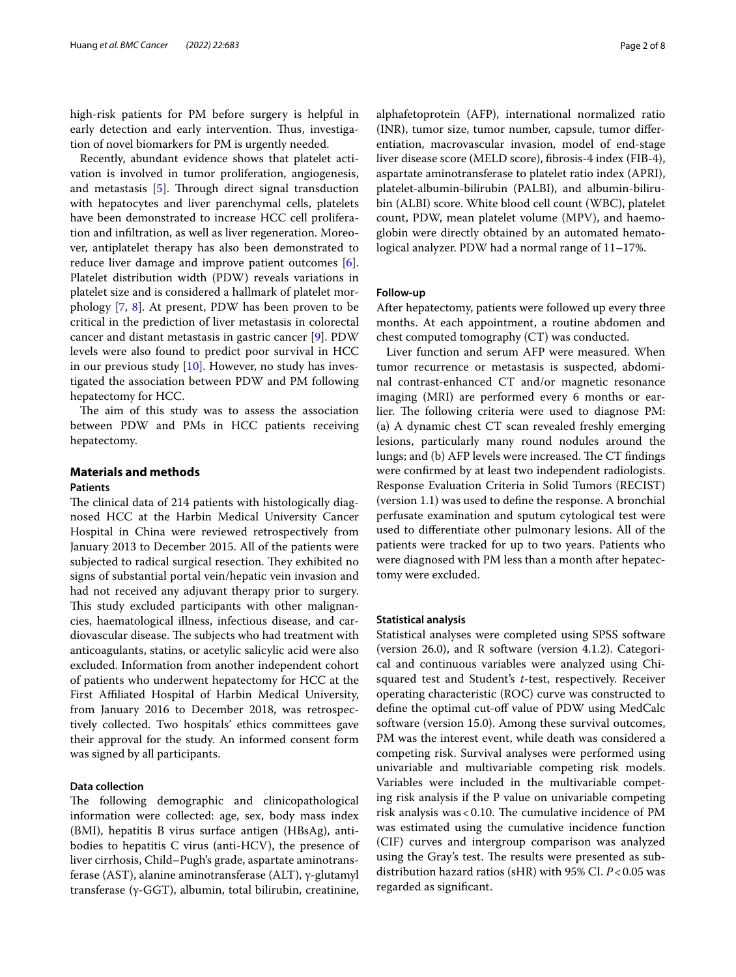high-risk patients for PM before surgery is helpful in early detection and early intervention. Thus, investigation of novel biomarkers for PM is urgently needed.

Recently, abundant evidence shows that platelet activation is involved in tumor proliferation, angiogenesis, and metastasis  $[5]$  $[5]$ . Through direct signal transduction with hepatocytes and liver parenchymal cells, platelets have been demonstrated to increase HCC cell proliferation and infltration, as well as liver regeneration. Moreover, antiplatelet therapy has also been demonstrated to reduce liver damage and improve patient outcomes [\[6](#page-7-5)]. Platelet distribution width (PDW) reveals variations in platelet size and is considered a hallmark of platelet morphology [\[7](#page-7-6), [8\]](#page-7-7). At present, PDW has been proven to be critical in the prediction of liver metastasis in colorectal cancer and distant metastasis in gastric cancer [[9\]](#page-7-8). PDW levels were also found to predict poor survival in HCC in our previous study [\[10\]](#page-7-9). However, no study has investigated the association between PDW and PM following hepatectomy for HCC.

The aim of this study was to assess the association between PDW and PMs in HCC patients receiving hepatectomy.

#### **Materials and methods**

#### **Patients**

The clinical data of 214 patients with histologically diagnosed HCC at the Harbin Medical University Cancer Hospital in China were reviewed retrospectively from January 2013 to December 2015. All of the patients were subjected to radical surgical resection. They exhibited no signs of substantial portal vein/hepatic vein invasion and had not received any adjuvant therapy prior to surgery. This study excluded participants with other malignancies, haematological illness, infectious disease, and cardiovascular disease. The subjects who had treatment with anticoagulants, statins, or acetylic salicylic acid were also excluded. Information from another independent cohort of patients who underwent hepatectomy for HCC at the First Afliated Hospital of Harbin Medical University, from January 2016 to December 2018, was retrospectively collected. Two hospitals' ethics committees gave their approval for the study. An informed consent form was signed by all participants.

#### **Data collection**

The following demographic and clinicopathological information were collected: age, sex, body mass index (BMI), hepatitis B virus surface antigen (HBsAg), antibodies to hepatitis C virus (anti-HCV), the presence of liver cirrhosis, Child–Pugh's grade, aspartate aminotransferase (AST), alanine aminotransferase (ALT), γ-glutamyl transferase (γ-GGT), albumin, total bilirubin, creatinine, alphafetoprotein (AFP), international normalized ratio (INR), tumor size, tumor number, capsule, tumor diferentiation, macrovascular invasion, model of end-stage liver disease score (MELD score), fbrosis-4 index (FIB-4), aspartate aminotransferase to platelet ratio index (APRI), platelet-albumin-bilirubin (PALBI), and albumin-bilirubin (ALBI) score. White blood cell count (WBC), platelet count, PDW, mean platelet volume (MPV), and haemoglobin were directly obtained by an automated hematological analyzer. PDW had a normal range of 11–17%.

#### **Follow‑up**

After hepatectomy, patients were followed up every three months. At each appointment, a routine abdomen and chest computed tomography (CT) was conducted.

Liver function and serum AFP were measured. When tumor recurrence or metastasis is suspected, abdominal contrast-enhanced CT and/or magnetic resonance imaging (MRI) are performed every 6 months or earlier. The following criteria were used to diagnose PM: (a) A dynamic chest CT scan revealed freshly emerging lesions, particularly many round nodules around the lungs; and (b) AFP levels were increased. The CT findings were confrmed by at least two independent radiologists. Response Evaluation Criteria in Solid Tumors (RECIST) (version 1.1) was used to defne the response. A bronchial perfusate examination and sputum cytological test were used to diferentiate other pulmonary lesions. All of the patients were tracked for up to two years. Patients who were diagnosed with PM less than a month after hepatectomy were excluded.

#### **Statistical analysis**

Statistical analyses were completed using SPSS software (version 26.0), and R software (version 4.1.2). Categorical and continuous variables were analyzed using Chisquared test and Student's *t*-test, respectively. Receiver operating characteristic (ROC) curve was constructed to defne the optimal cut-of value of PDW using MedCalc software (version 15.0). Among these survival outcomes, PM was the interest event, while death was considered a competing risk. Survival analyses were performed using univariable and multivariable competing risk models. Variables were included in the multivariable competing risk analysis if the P value on univariable competing risk analysis was <  $0.10$ . The cumulative incidence of PM was estimated using the cumulative incidence function (CIF) curves and intergroup comparison was analyzed using the Gray's test. The results were presented as subdistribution hazard ratios (sHR) with 95% CI. *P*<0.05 was regarded as signifcant.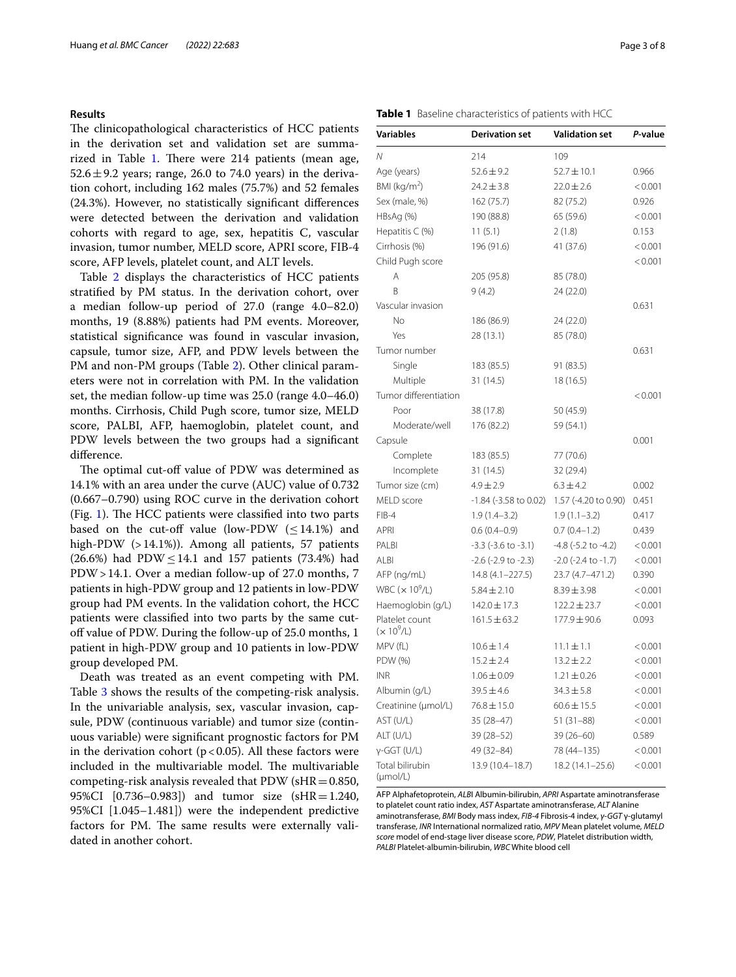#### **Results**

The clinicopathological characteristics of HCC patients in the derivation set and validation set are summa-rized in Table [1](#page-2-0). There were  $214$  patients (mean age,  $52.6 \pm 9.2$  years; range, 26.0 to 74.0 years) in the derivation cohort, including 162 males (75.7%) and 52 females (24.3%). However, no statistically signifcant diferences were detected between the derivation and validation cohorts with regard to age, sex, hepatitis C, vascular invasion, tumor number, MELD score, APRI score, FIB-4 score, AFP levels, platelet count, and ALT levels.

Table [2](#page-3-0) displays the characteristics of HCC patients stratifed by PM status. In the derivation cohort, over a median follow-up period of 27.0 (range 4.0–82.0) months, 19 (8.88%) patients had PM events. Moreover, statistical signifcance was found in vascular invasion, capsule, tumor size, AFP, and PDW levels between the PM and non-PM groups (Table [2](#page-3-0)). Other clinical parameters were not in correlation with PM. In the validation set, the median follow-up time was 25.0 (range 4.0–46.0) months. Cirrhosis, Child Pugh score, tumor size, MELD score, PALBI, AFP, haemoglobin, platelet count, and PDW levels between the two groups had a signifcant diference.

The optimal cut-off value of PDW was determined as 14.1% with an area under the curve (AUC) value of 0.732 (0.667–0.790) using ROC curve in the derivation cohort (Fig. [1\)](#page-4-0). The HCC patients were classified into two parts based on the cut-off value (low-PDW  $(\leq 14.1\%)$  and high-PDW (>14.1%)). Among all patients, 57 patients  $(26.6%)$  had PDW  $\leq$  14.1 and 157 patients (73.4%) had PDW>14.1. Over a median follow-up of 27.0 months, 7 patients in high-PDW group and 12 patients in low-PDW group had PM events. In the validation cohort, the HCC patients were classifed into two parts by the same cutoff value of PDW. During the follow-up of 25.0 months, 1 patient in high-PDW group and 10 patients in low-PDW group developed PM.

Death was treated as an event competing with PM. Table [3](#page-4-1) shows the results of the competing-risk analysis. In the univariable analysis, sex, vascular invasion, capsule, PDW (continuous variable) and tumor size (continuous variable) were signifcant prognostic factors for PM in the derivation cohort ( $p < 0.05$ ). All these factors were included in the multivariable model. The multivariable competing-risk analysis revealed that PDW ( $sHR=0.850$ , 95%CI [0.736–0.983]) and tumor size (sHR=1.240, 95%CI [1.045–1.481]) were the independent predictive factors for PM. The same results were externally validated in another cohort.

<span id="page-2-0"></span>

| Table 1 Baseline characteristics of patients with HCC |  |
|-------------------------------------------------------|--|
|-------------------------------------------------------|--|

| Variables                        | <b>Derivation set</b>       | <b>Validation set</b>       | P-value |
|----------------------------------|-----------------------------|-----------------------------|---------|
| Ν                                | 214                         | 109                         |         |
| Age (years)                      | $52.6 \pm 9.2$              | $52.7 \pm 10.1$             | 0.966   |
| BMI ( $kg/m2$ )                  | $24.2 \pm 3.8$              | $22.0 \pm 2.6$              | < 0.001 |
| Sex (male, %)                    | 162(75.7)                   | 82 (75.2)                   | 0.926   |
| HBsAg (%)                        | 190 (88.8)                  | 65 (59.6)                   | < 0.001 |
| Hepatitis C (%)                  | 11(5.1)                     | 2(1.8)                      | 0.153   |
| Cirrhosis (%)                    | 196 (91.6)                  | 41 (37.6)                   | < 0.001 |
| Child Pugh score                 |                             |                             | < 0.001 |
| Α                                | 205 (95.8)                  | 85 (78.0)                   |         |
| B                                | 9(4.2)                      | 24 (22.0)                   |         |
| Vascular invasion                |                             |                             | 0.631   |
| No                               | 186 (86.9)                  | 24 (22.0)                   |         |
| Yes                              | 28 (13.1)                   | 85 (78.0)                   |         |
| Tumor number                     |                             |                             | 0.631   |
| Single                           | 183 (85.5)                  | 91 (83.5)                   |         |
| Multiple                         | 31 (14.5)                   | 18 (16.5)                   |         |
| Tumor differentiation            |                             |                             | < 0.001 |
| Poor                             | 38 (17.8)                   | 50 (45.9)                   |         |
| Moderate/well                    | 176 (82.2)                  | 59 (54.1)                   |         |
| Capsule                          |                             |                             | 0.001   |
| Complete                         | 183 (85.5)                  | 77 (70.6)                   |         |
| Incomplete                       | 31 (14.5)                   | 32 (29.4)                   |         |
| Tumor size (cm)                  | $4.9 \pm 2.9$               | $6.3 \pm 4.2$               | 0.002   |
| MELD score                       | $-1.84$ ( $-3.58$ to 0.02)  | 1.57 (-4.20 to 0.90)        | 0.451   |
| FIB-4                            | $1.9(1.4 - 3.2)$            | $1.9(1.1 - 3.2)$            | 0.417   |
| APRI                             | $0.6(0.4-0.9)$              | $0.7(0.4-1.2)$              | 0.439   |
| PALBI                            | $-3.3$ ( $-3.6$ to $-3.1$ ) | $-4.8$ ( $-5.2$ to $-4.2$ ) | < 0.001 |
| <b>ALBI</b>                      | $-2.6$ ( $-2.9$ to $-2.3$ ) | $-2.0$ ( $-2.4$ to $-1.7$ ) | < 0.001 |
| AFP (ng/mL)                      | 14.8 (4.1-227.5)            | 23.7 (4.7-471.2)            | 0.390   |
| WBC $(x 10^9/L)$                 | $5.84 \pm 2.10$             | $8.39 \pm 3.98$             | < 0.001 |
| Haemoglobin (g/L)                | $142.0 \pm 17.3$            | $122.2 \pm 23.7$            | < 0.001 |
| Platelet count<br>$(x 10^{9}/L)$ | $161.5 \pm 63.2$            | 177.9 ± 90.6                | 0.093   |
| MPV (fL)                         | $10.6 \pm 1.4$              | 11.1±1.1                    | < 0.001 |
| PDW (%)                          | $15.2 \pm 2.4$              | $13.2 \pm 2.2$              | < 0.001 |
| <b>INR</b>                       | $1.06 \pm 0.09$             | $1.21 \pm 0.26$             | < 0.001 |
| Albumin (g/L)                    | $39.5 \pm 4.6$              | $34.3 \pm 5.8$              | < 0.001 |
| Creatinine (µmol/L)              | $76.8 \pm 15.0$             | $60.6 \pm 15.5$             | < 0.001 |
| AST (U/L)                        | 35 (28–47)                  | $51(31 - 88)$               | < 0.001 |
| ALT (U/L)                        | 39 (28–52)                  | 39 (26–60)                  | 0.589   |
| γ-GGT (U/L)                      | 49 (32-84)                  | 78 (44 - 135)               | < 0.001 |
| Total bilirubin<br>$(\mu mol/L)$ | 13.9 (10.4-18.7)            | 18.2 (14.1-25.6)            | < 0.001 |

AFP Alphafetoprotein, *ALB*I Albumin-bilirubin, *APRI* Aspartate aminotransferase to platelet count ratio index, *AST* Aspartate aminotransferase, *ALT* Alanine aminotransferase, *BMI* Body mass index, *FIB-4* Fibrosis-4 index, *γ-GGT* γ-glutamyl transferase, *INR* International normalized ratio, *MPV* Mean platelet volume, *MELD score* model of end-stage liver disease score, *PDW*, Platelet distribution width, *PALBI* Platelet-albumin-bilirubin, *WBC* White blood cell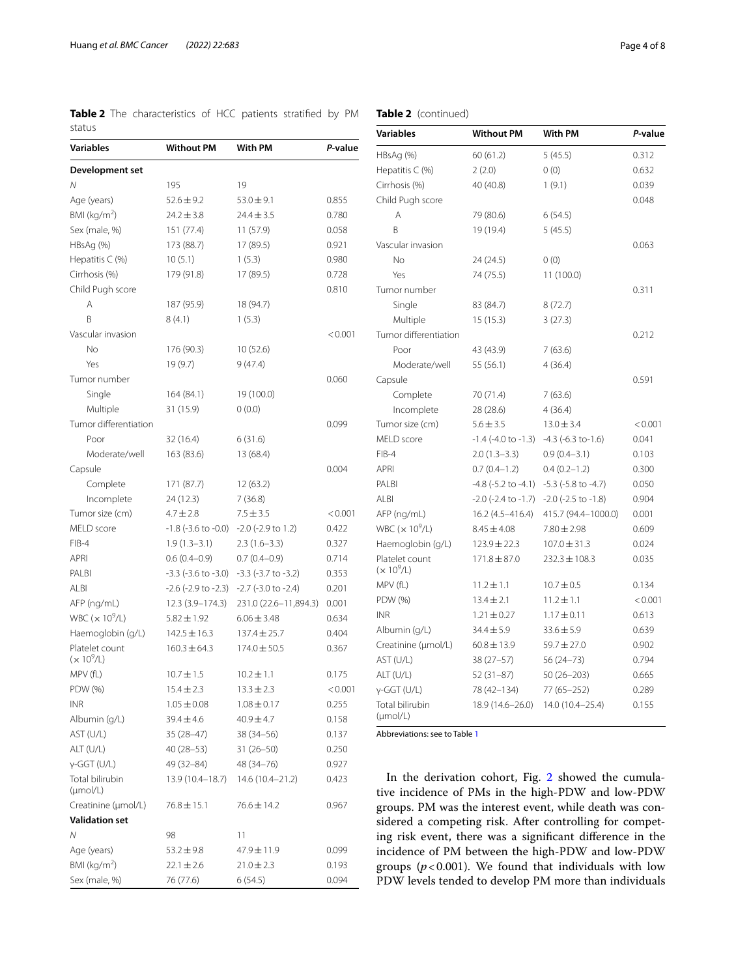<span id="page-3-0"></span>

| Variables                      | <b>Without PM</b>           | With PM                     | P-value |
|--------------------------------|-----------------------------|-----------------------------|---------|
| Development set                |                             |                             |         |
| N                              | 195                         | 19                          |         |
| Age (years)                    | $52.6 \pm 9.2$              | $53.0 \pm 9.1$              | 0.855   |
| BMI ( $kg/m2$ )                | $24.2 \pm 3.8$              | $24.4 \pm 3.5$              | 0.780   |
| Sex (male, %)                  | 151 (77.4)                  | 11 (57.9)                   | 0.058   |
| HBsAg (%)                      | 173 (88.7)                  | 17 (89.5)                   | 0.921   |
| Hepatitis C (%)                | 10(5.1)                     | 1(5.3)                      | 0.980   |
| Cirrhosis (%)                  | 179 (91.8)                  | 17 (89.5)                   | 0.728   |
| Child Pugh score               |                             |                             | 0.810   |
| A                              | 187 (95.9)                  | 18 (94.7)                   |         |
| B                              | 8(4.1)                      | 1(5.3)                      |         |
| Vascular invasion              |                             |                             | < 0.001 |
| No                             | 176 (90.3)                  | 10 (52.6)                   |         |
| Yes                            | 19 (9.7)                    | 9(47.4)                     |         |
| Tumor number                   |                             |                             | 0.060   |
| Single                         | 164 (84.1)                  | 19 (100.0)                  |         |
| Multiple                       | 31 (15.9)                   | 0(0.0)                      |         |
| Tumor differentiation          |                             |                             | 0.099   |
| Poor                           | 32 (16.4)                   | 6(31.6)                     |         |
| Moderate/well                  | 163 (83.6)                  | 13 (68.4)                   |         |
| Capsule                        |                             |                             | 0.004   |
| Complete                       | 171 (87.7)                  | 12 (63.2)                   |         |
| Incomplete                     | 24(12.3)                    | 7(36.8)                     |         |
| Tumor size (cm)                | $4.7 \pm 2.8$               | $7.5 \pm 3.5$               |         |
|                                |                             |                             | < 0.001 |
| MELD score                     | $-1.8$ ( $-3.6$ to $-0.0$ ) | $-2.0$ ( $-2.9$ to 1.2)     | 0.422   |
| FIB-4<br><b>APRI</b>           | $1.9(1.3-3.1)$              | $2.3(1.6-3.3)$              | 0.327   |
|                                | $0.6(0.4-0.9)$              | $0.7(0.4-0.9)$              | 0.714   |
| PALBI                          | $-3.3$ ( $-3.6$ to $-3.0$ ) | $-3.3$ ( $-3.7$ to $-3.2$ ) | 0.353   |
| <b>ALBI</b>                    | $-2.6$ ( $-2.9$ to $-2.3$ ) | $-2.7$ ( $-3.0$ to $-2.4$ ) | 0.201   |
| AFP (ng/mL)                    | 12.3 (3.9-174.3)            | 231.0 (22.6-11,894.3)       | 0.001   |
| WBC $(x 10^9/L)$               | $5.82 \pm 1.92$             | $6.06 \pm 3.48$             | 0.634   |
| Haemoglobin (g/L)              | $142.5 \pm 16.3$            | 137.4 ± 25.7                | 0.404   |
| Platelet count<br>$(x 10^9/L)$ | $160.3 \pm 64.3$            | 174.0 ± 50.5                | 0.367   |
| MPV (fL)                       | $10.7 \pm 1.5$              | $10.2 \pm 1.1$              | 0.175   |
| PDW (%)                        | $15.4 \pm 2.3$              | $13.3 \pm 2.3$              | < 0.001 |
| <b>INR</b>                     | $1.05 \pm 0.08$             | $1.08 \pm 0.17$             | 0.255   |
| Albumin (g/L)                  | 39.4±4.6                    | $40.9 \pm 4.7$              | 0.158   |
| AST (U/L)                      | $35(28-47)$                 | 38 (34 - 56)                | 0.137   |
| ALT (U/L)                      | $40(28-53)$                 | $31(26 - 50)$               | 0.250   |
| $y-GGT$ (U/L)                  | 49 (32 - 84)                | 48 (34 - 76)                | 0.927   |
| Total bilirubin                | 13.9 (10.4–18.7)            | 14.6 (10.4–21.2)            | 0.423   |
| (numol/L)                      |                             |                             |         |
| Creatinine (µmol/L)            | $76.8 \pm 15.1$             | $76.6 \pm 14.2$             | 0.967   |
| <b>Validation set</b>          |                             |                             |         |
| Ν                              | 98                          | 11                          |         |
| Age (years)                    | $53.2 \pm 9.8$              | 47.9±11.9                   | 0.099   |
| BMI (kg/m <sup>2</sup> )       | $22.1 \pm 2.6$              | $21.0 \pm 2.3$              | 0.193   |
| Sex (male, %)                  | 76 (77.6)                   | 6(54.5)                     | 0.094   |
|                                |                             |                             |         |

## **Table 2** (continued)

| <b>Variables</b>                        | <b>Without PM</b>           | With PM                     | P-value |  |
|-----------------------------------------|-----------------------------|-----------------------------|---------|--|
| HBsAg (%)                               | 60(61.2)                    | 5(45.5)                     | 0.312   |  |
| Hepatitis $C$ (%)                       | 2(2.0)                      | 0(0)                        | 0.632   |  |
| Cirrhosis (%)                           | 40 (40.8)                   | 1(9.1)                      | 0.039   |  |
| Child Pugh score                        |                             |                             | 0.048   |  |
| Α                                       | 79 (80.6)                   | 6(54.5)                     |         |  |
| B                                       | 19 (19.4)                   | 5(45.5)                     |         |  |
| Vascular invasion                       |                             |                             | 0.063   |  |
| <b>No</b>                               | 24 (24.5)                   | 0(0)                        |         |  |
| Yes                                     | 74 (75.5)                   | 11 (100.0)                  |         |  |
| Tumor number                            |                             |                             | 0.311   |  |
| Single                                  | 83 (84.7)                   | 8(72.7)                     |         |  |
| Multiple                                | 15(15.3)                    | 3(27.3)                     |         |  |
| Tumor differentiation                   |                             |                             | 0.212   |  |
| Poor                                    | 43 (43.9)                   | 7(63.6)                     |         |  |
| Moderate/well                           | 55 (56.1)                   | 4(36.4)                     |         |  |
| Capsule                                 |                             |                             | 0.591   |  |
| Complete                                | 70 (71.4)                   | 7(63.6)                     |         |  |
| Incomplete                              | 28 (28.6)                   | 4 (36.4)                    |         |  |
| Tumor size (cm)                         | $5.6 \pm 3.5$               | $13.0 \pm 3.4$              | < 0.001 |  |
| MELD score                              | $-1.4$ (-4.0 to $-1.3$ )    | $-4.3$ ( $-6.3$ to $-1.6$ ) | 0.041   |  |
| $FIB-4$                                 | $2.0(1.3-3.3)$              | $0.9(0.4 - 3.1)$            | 0.103   |  |
| <b>APRI</b>                             | $0.7(0.4-1.2)$              | $0.4(0.2-1.2)$              | 0.300   |  |
| PALBI                                   | $-4.8$ ( $-5.2$ to $-4.1$ ) | $-5.3$ ( $-5.8$ to $-4.7$ ) | 0.050   |  |
| AI BI                                   | $-2.0$ ( $-2.4$ to $-1.7$ ) | $-2.0$ ( $-2.5$ to $-1.8$ ) | 0.904   |  |
| AFP (ng/mL)                             | 16.2 (4.5-416.4)            | 415.7 (94.4-1000.0)         | 0.001   |  |
| WBC $(x 10^9/L)$                        | $8.45 \pm 4.08$             | $7.80 \pm 2.98$             | 0.609   |  |
| Haemoglobin (g/L)                       | $123.9 \pm 22.3$            | $107.0 \pm 31.3$            | 0.024   |  |
| Platelet count<br>$(x 10^9/L)$          | $171.8 \pm 87.0$            | $232.3 \pm 108.3$           | 0.035   |  |
| MPV (fL)                                | $11.2 \pm 1.1$              | $10.7 \pm 0.5$              | 0.134   |  |
| PDW (%)                                 | $13.4 \pm 2.1$              | $11.2 \pm 1.1$              | < 0.001 |  |
| <b>INR</b>                              | $1.21 \pm 0.27$             | $1.17 \pm 0.11$             | 0.613   |  |
| Albumin (g/L)                           | $34.4 \pm 5.9$              | $33.6 \pm 5.9$              | 0.639   |  |
| Creatinine (µmol/L)                     | $60.8 \pm 13.9$             | $59.7 \pm 27.0$             | 0.902   |  |
| AST (U/L)                               | $38(27 - 57)$               | 56 (24-73)                  | 0.794   |  |
| ALT (U/L)                               | $52(31-87)$                 | 50 (26-203)                 | 0.665   |  |
| $y$ -GGT (U/L)                          | 78 (42-134)                 | 77 (65 - 252)               | 0.289   |  |
| Total bilirubin<br>$(\mu \text{mol/L})$ | 18.9 (14.6-26.0)            | 14.0 (10.4-25.4)            | 0.155   |  |

Abbreviations: see to Table [1](#page-2-0)

In the derivation cohort, Fig. [2](#page-5-0) showed the cumulative incidence of PMs in the high-PDW and low-PDW groups. PM was the interest event, while death was considered a competing risk. After controlling for competing risk event, there was a signifcant diference in the incidence of PM between the high-PDW and low-PDW groups  $(p < 0.001)$ . We found that individuals with low PDW levels tended to develop PM more than individuals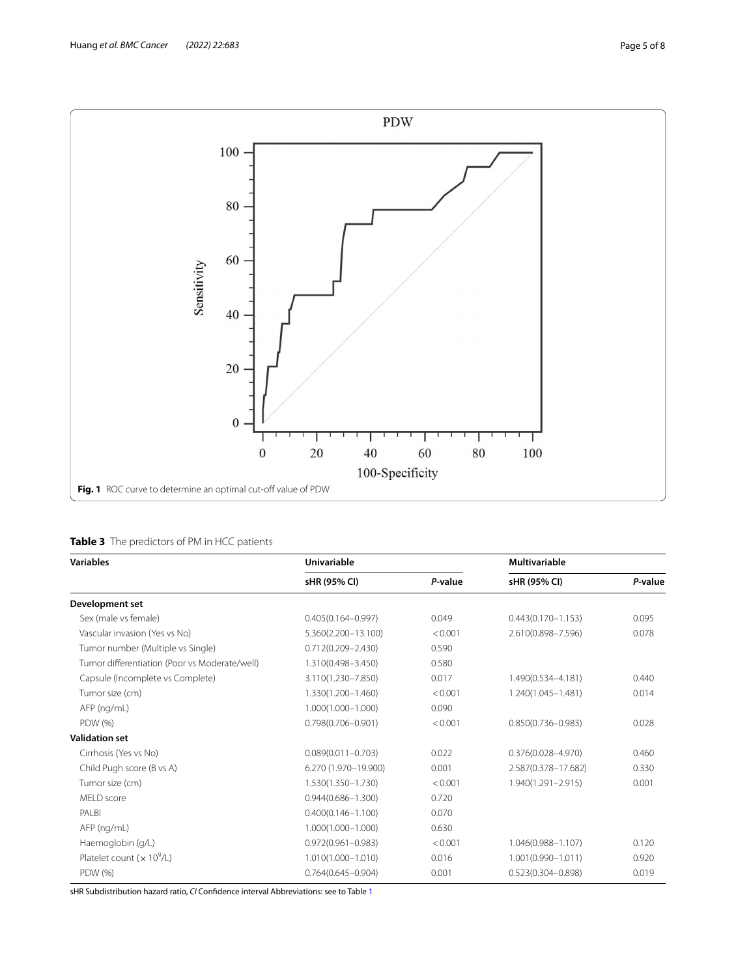

<span id="page-4-1"></span><span id="page-4-0"></span>

| <b>Variables</b>                              | <b>Univariable</b>     |         | <b>Multivariable</b>   |         |
|-----------------------------------------------|------------------------|---------|------------------------|---------|
|                                               | sHR (95% CI)           | P-value | sHR (95% CI)           | P-value |
| Development set                               |                        |         |                        |         |
| Sex (male vs female)                          | $0.405(0.164 - 0.997)$ | 0.049   | $0.443(0.170 - 1.153)$ | 0.095   |
| Vascular invasion (Yes vs No)                 | 5.360(2.200-13.100)    | < 0.001 | 2.610(0.898-7.596)     | 0.078   |
| Tumor number (Multiple vs Single)             | $0.712(0.209 - 2.430)$ | 0.590   |                        |         |
| Tumor differentiation (Poor vs Moderate/well) | 1.310(0.498-3.450)     | 0.580   |                        |         |
| Capsule (Incomplete vs Complete)              | 3.110(1.230-7.850)     | 0.017   | 1.490(0.534-4.181)     | 0.440   |
| Tumor size (cm)                               | 1.330(1.200-1.460)     | < 0.001 | 1.240(1.045-1.481)     | 0.014   |
| AFP (ng/mL)                                   | $1.000(1.000 - 1.000)$ | 0.090   |                        |         |
| PDW (%)                                       | $0.798(0.706 - 0.901)$ | < 0.001 | $0.850(0.736 - 0.983)$ | 0.028   |
| <b>Validation set</b>                         |                        |         |                        |         |
| Cirrhosis (Yes vs No)                         | $0.089(0.011 - 0.703)$ | 0.022   | $0.376(0.028 - 4.970)$ | 0.460   |
| Child Pugh score (B vs A)                     | 6.270 (1.970-19.900)   | 0.001   | 2.587(0.378-17.682)    | 0.330   |
| Tumor size (cm)                               | 1.530(1.350-1.730)     | < 0.001 | 1.940(1.291-2.915)     | 0.001   |
| MELD score                                    | $0.944(0.686 - 1.300)$ | 0.720   |                        |         |
| PALBI                                         | $0.400(0.146 - 1.100)$ | 0.070   |                        |         |
| AFP (ng/mL)                                   | $1.000(1.000 - 1.000)$ | 0.630   |                        |         |
| Haemoglobin (g/L)                             | $0.972(0.961 - 0.983)$ | < 0.001 | 1.046(0.988-1.107)     | 0.120   |
| Platelet count $(x 10^9/L)$                   | 1.010(1.000-1.010)     | 0.016   | $1.001(0.990 - 1.011)$ | 0.920   |
| PDW (%)                                       | $0.764(0.645 - 0.904)$ | 0.001   | $0.523(0.304 - 0.898)$ | 0.019   |

sHR Subdistribution hazard ratio, *CI* Confdence interval Abbreviations: see to Table [1](#page-2-0)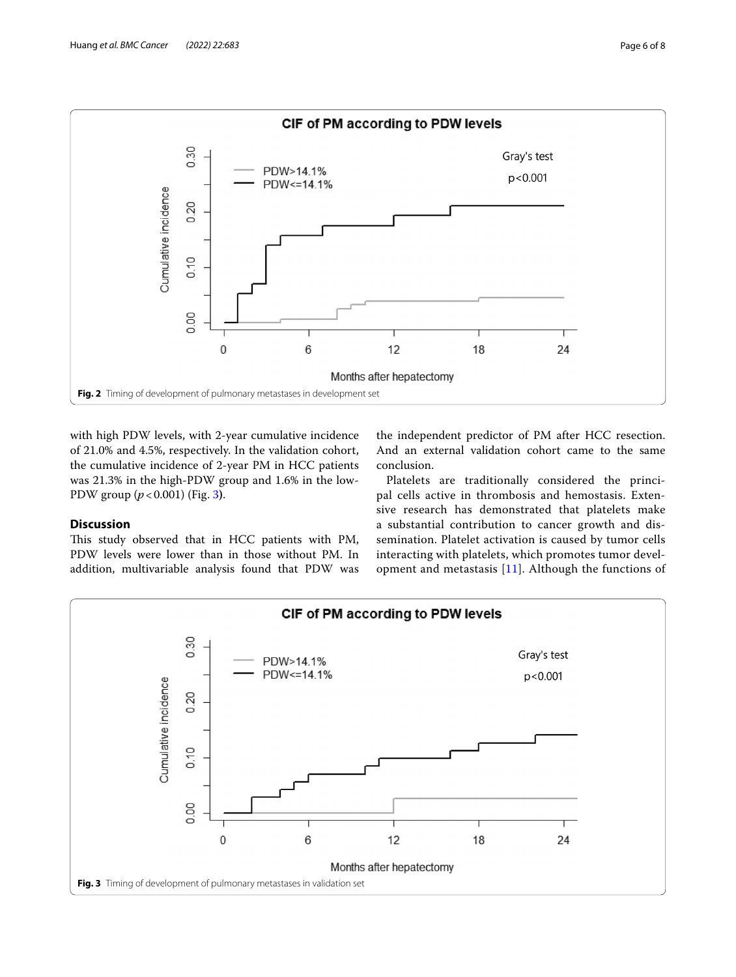

<span id="page-5-0"></span>with high PDW levels, with 2-year cumulative incidence of 21.0% and 4.5%, respectively. In the validation cohort, the cumulative incidence of 2-year PM in HCC patients was 21.3% in the high-PDW group and 1.6% in the low-PDW group (*p*<0.001) (Fig. [3](#page-5-1)**)**.

### **Discussion**

This study observed that in HCC patients with PM, PDW levels were lower than in those without PM. In addition, multivariable analysis found that PDW was

the independent predictor of PM after HCC resection. And an external validation cohort came to the same conclusion.

Platelets are traditionally considered the principal cells active in thrombosis and hemostasis. Extensive research has demonstrated that platelets make a substantial contribution to cancer growth and dissemination. Platelet activation is caused by tumor cells interacting with platelets, which promotes tumor development and metastasis  $[11]$  $[11]$ . Although the functions of

<span id="page-5-1"></span>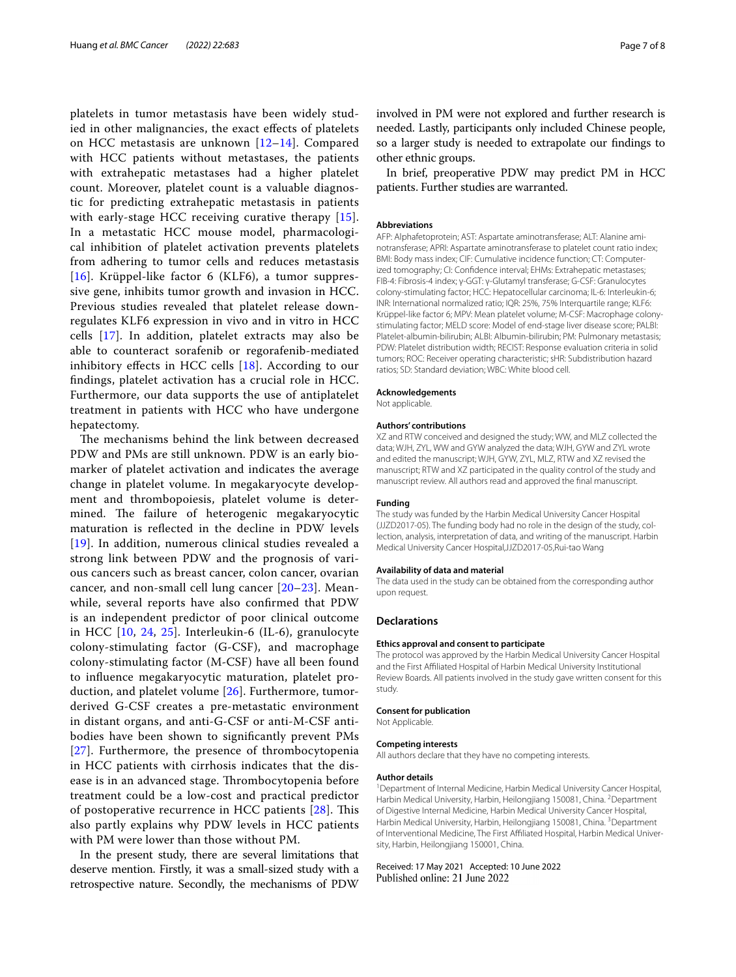platelets in tumor metastasis have been widely studied in other malignancies, the exact efects of platelets on HCC metastasis are unknown [[12](#page-7-11)[–14](#page-7-12)]. Compared with HCC patients without metastases, the patients with extrahepatic metastases had a higher platelet count. Moreover, platelet count is a valuable diagnostic for predicting extrahepatic metastasis in patients with early-stage HCC receiving curative therapy [[15\]](#page-7-13). In a metastatic HCC mouse model, pharmacological inhibition of platelet activation prevents platelets from adhering to tumor cells and reduces metastasis [[16](#page-7-14)]. Krüppel-like factor 6 (KLF6), a tumor suppressive gene, inhibits tumor growth and invasion in HCC. Previous studies revealed that platelet release downregulates KLF6 expression in vivo and in vitro in HCC cells [[17\]](#page-7-15). In addition, platelet extracts may also be able to counteract sorafenib or regorafenib-mediated inhibitory efects in HCC cells [[18\]](#page-7-16). According to our fndings, platelet activation has a crucial role in HCC. Furthermore, our data supports the use of antiplatelet treatment in patients with HCC who have undergone hepatectomy.

The mechanisms behind the link between decreased PDW and PMs are still unknown. PDW is an early biomarker of platelet activation and indicates the average change in platelet volume. In megakaryocyte development and thrombopoiesis, platelet volume is determined. The failure of heterogenic megakaryocytic maturation is refected in the decline in PDW levels [[19](#page-7-17)]. In addition, numerous clinical studies revealed a strong link between PDW and the prognosis of various cancers such as breast cancer, colon cancer, ovarian cancer, and non-small cell lung cancer [[20–](#page-7-18)[23\]](#page-7-19). Meanwhile, several reports have also confrmed that PDW is an independent predictor of poor clinical outcome in HCC [[10,](#page-7-9) [24](#page-7-20), [25\]](#page-7-21). Interleukin-6 (IL-6), granulocyte colony-stimulating factor (G-CSF), and macrophage colony-stimulating factor (M-CSF) have all been found to infuence megakaryocytic maturation, platelet production, and platelet volume [\[26\]](#page-7-22). Furthermore, tumorderived G-CSF creates a pre-metastatic environment in distant organs, and anti-G-CSF or anti-M-CSF antibodies have been shown to signifcantly prevent PMs [[27](#page-7-23)]. Furthermore, the presence of thrombocytopenia in HCC patients with cirrhosis indicates that the disease is in an advanced stage. Thrombocytopenia before treatment could be a low-cost and practical predictor of postoperative recurrence in HCC patients  $[28]$  $[28]$  $[28]$ . This also partly explains why PDW levels in HCC patients with PM were lower than those without PM.

In the present study, there are several limitations that deserve mention. Firstly, it was a small-sized study with a retrospective nature. Secondly, the mechanisms of PDW involved in PM were not explored and further research is needed. Lastly, participants only included Chinese people, so a larger study is needed to extrapolate our fndings to other ethnic groups.

In brief, preoperative PDW may predict PM in HCC patients. Further studies are warranted.

#### **Abbreviations**

AFP: Alphafetoprotein; AST: Aspartate aminotransferase; ALT: Alanine aminotransferase; APRI: Aspartate aminotransferase to platelet count ratio index; BMI: Body mass index; CIF: Cumulative incidence function; CT: Computerized tomography; CI: Confdence interval; EHMs: Extrahepatic metastases; FIB-4: Fibrosis-4 index; γ-GGT: γ-Glutamyl transferase; G-CSF: Granulocytes colony-stimulating factor; HCC: Hepatocellular carcinoma; IL-6: Interleukin-6; INR: International normalized ratio; IQR: 25%, 75% Interquartile range; KLF6: Krüppel-like factor 6; MPV: Mean platelet volume; M-CSF: Macrophage colonystimulating factor; MELD score: Model of end-stage liver disease score; PALBI: Platelet-albumin-bilirubin; ALBI: Albumin-bilirubin; PM: Pulmonary metastasis; PDW: Platelet distribution width; RECIST: Response evaluation criteria in solid tumors; ROC: Receiver operating characteristic; sHR: Subdistribution hazard ratios; SD: Standard deviation; WBC: White blood cell.

#### **Acknowledgements**

Not applicable.

#### **Authors' contributions**

XZ and RTW conceived and designed the study; WW, and MLZ collected the data; WJH, ZYL, WW and GYW analyzed the data; WJH, GYW and ZYL wrote and edited the manuscript; WJH, GYW, ZYL, MLZ, RTW and XZ revised the manuscript; RTW and XZ participated in the quality control of the study and manuscript review. All authors read and approved the fnal manuscript.

#### **Funding**

The study was funded by the Harbin Medical University Cancer Hospital (JJZD2017-05). The funding body had no role in the design of the study, col‑ lection, analysis, interpretation of data, and writing of the manuscript. Harbin Medical University Cancer Hospital,JJZD2017-05,Rui-tao Wang

#### **Availability of data and material**

The data used in the study can be obtained from the corresponding author upon request.

#### **Declarations**

#### **Ethics approval and consent to participate**

The protocol was approved by the Harbin Medical University Cancer Hospital and the First Afliated Hospital of Harbin Medical University Institutional Review Boards. All patients involved in the study gave written consent for this study.

#### **Consent for publication**

Not Applicable.

#### **Competing interests**

All authors declare that they have no competing interests.

#### **Author details**

<sup>1</sup> Department of Internal Medicine, Harbin Medical University Cancer Hospital, Harbin Medical University, Harbin, Heilongjiang 150081, China. <sup>2</sup> Department of Digestive Internal Medicine, Harbin Medical University Cancer Hospital, Harbin Medical University, Harbin, Heilongjiang 150081, China. <sup>3</sup>Department of Interventional Medicine, The First Affiliated Hospital, Harbin Medical University, Harbin, Heilongjiang 150001, China.

#### Received: 17 May 2021 Accepted: 10 June 2022Published online: 21 June 2022